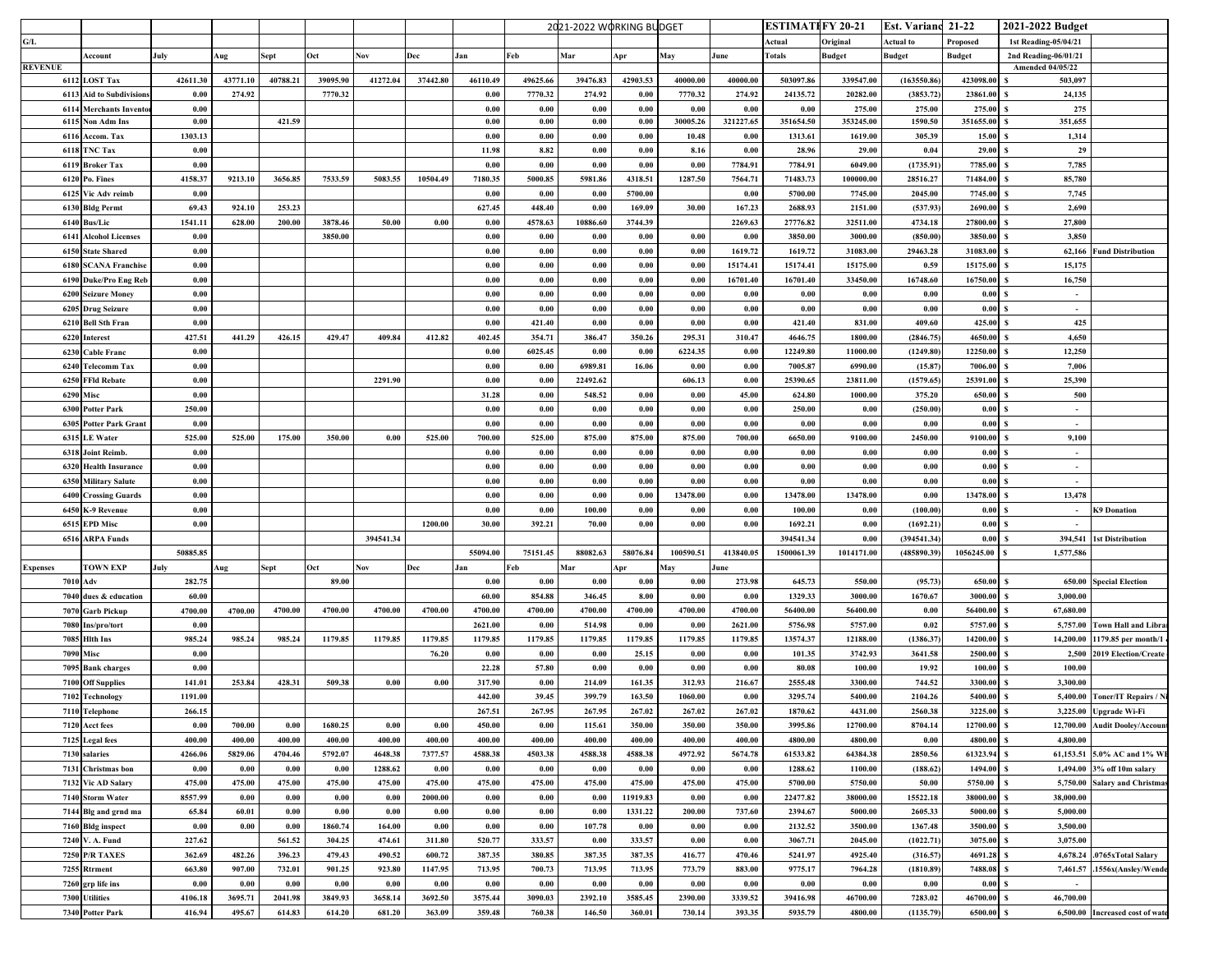|                |                                    |                   |                   |                     |                   |                     |                     |                     |                     | 2021-2022 WORKING BUDGET |                     |                     |                   | ESTIMATI FY 20-21   |                     | <b>Est. Variand 21-22</b> |                     | 2021-2022 Budget        |                                 |
|----------------|------------------------------------|-------------------|-------------------|---------------------|-------------------|---------------------|---------------------|---------------------|---------------------|--------------------------|---------------------|---------------------|-------------------|---------------------|---------------------|---------------------------|---------------------|-------------------------|---------------------------------|
| G/L            |                                    |                   |                   |                     |                   |                     |                     |                     |                     |                          |                     |                     |                   | Actual              | Original            | Actual to                 | Proposed            | 1st Reading-05/04/21    |                                 |
|                | Account                            | July              | Aug               | Sept                | Oct               | Nov                 | Dec                 | Jan                 | Feb                 | Mar                      | <b>Apr</b>          | May                 | June              | Fotals              | <b>Budget</b>       | <b>Budget</b>             | <b>Budget</b>       | 2nd Reading-06/01/21    |                                 |
| <b>REVENUE</b> |                                    |                   |                   |                     |                   |                     |                     |                     |                     |                          |                     |                     |                   |                     |                     |                           |                     | <b>Amended 04/05/22</b> |                                 |
|                | 6112 LOST Tax                      | 42611.30          | 43771.10          | 40788.21            | 39095.90          | 41272.04            | 37442.80            | 46110.49            | 49625.66            | 39476.83                 | 42903.53            | 40000.00            | 40000.00          | 503097.86           | 339547.00           | (163550.86                | 423098.00           | 503,097                 |                                 |
|                | 6113 Aid to Subdivision            | 0.00              | 274.92            |                     | 7770.32           |                     |                     | 0.00                | 7770.32             | 274.92                   | 0.00                | 7770.32             | 274.92            | 24135.72            | 20282.00            | (3853.72)                 | 23861.00            | 24,135                  |                                 |
|                | <b>6114 Merchants Invento</b>      | 0.00              |                   |                     |                   |                     |                     | 0.00                | 0.00                | 0.00                     | 0.00                | 0.00                | 0.00              | 0.00                | 275.00              | 275.00                    | 275.00              | 275                     |                                 |
|                | 6115 Non Adm Ins                   | 0.00              |                   | 421.59              |                   |                     |                     | 0.00                | 0.00                | 0.00                     | 0.00                | 30005.26            | 321227.65         | 351654.50           | 353245.00           | 1590.50                   | 351655.00           | 351,655                 |                                 |
|                | 6116 Accom. Tax                    | 1303.13           |                   |                     |                   |                     |                     | 0.00                | 0.00                | 0.00                     | 0.00                | 10.48               | 0.00              | 1313.61             | 1619.00             | 305.39                    | 15.00               | 1,314                   |                                 |
|                | 6118 TNC Tax                       | 0.00              |                   |                     |                   |                     |                     | 11.98               | 8.82                | 0.00                     | 0.00                | 8.16                | 0.00              | 28.96               | 29.00               | 0.04                      | 29.00               | 29                      |                                 |
|                | 6119 Broker Tax                    | 0.00              |                   |                     |                   |                     |                     | 0.00                | 0.00                | 0.00                     | 0.00                | 0.00                | 7784.91           | 7784.91             | 6049.00             | (1735.91)                 | 7785.00             | 7,785                   |                                 |
|                | 6120 Po. Fines                     | 4158.37           | 9213.10           | 3656.85             | 7533.59           | 5083.55             | 10504.49            | 7180.35             | 5000.85             | 5981.86                  | 4318.51             | 1287.50             | 7564.71           | 71483.73            | 100000.00           | 28516.27                  | 71484.00            | 85,780                  |                                 |
|                | 6125 Vic Adv reimb                 | 0.00              |                   |                     |                   |                     |                     | 0.00                | 0.00                | 0.00                     | 5700.00             |                     | 0.00              | 5700.00             | 7745.00             | 2045.00                   | 7745.00             | 7,745                   |                                 |
|                | 6130 Bldg Permt                    | 69.43             | 924.10            | 253.23              |                   |                     |                     | 627.45              | 448.40              | 0.00                     | 169.09              | 30.00               | 167.23            | 2688.93             | 2151.00             | (537.93)                  | 2690.00             | 2,690                   |                                 |
|                | 6140 Bus/Lic                       | 1541.11           | 628.00            | 200.00              | 3878.46           | 50.00               | 0.00                | 0.00                | 4578.63             | 10886.60                 | 3744.39             |                     | 2269.63           | 27776.82            | 32511.00            | 4734.18                   | 27800.00            | 27,800                  |                                 |
|                | <b>6141 Alcohol Licenses</b>       | 0.00              |                   |                     | 3850.00           |                     |                     | 0.00                | 0.00                | 0.00                     | 0.00                | 0.00                | 0.00              | 3850.00             | 3000.00             | (850.00)                  | 3850.00             | 3,850<br>s              |                                 |
|                | 6150 State Shared                  | 0.00              |                   |                     |                   |                     |                     | 0.00                | 0.00                | 0.00                     | 0.00                | 0.00                | 1619.72           | 1619.72             | 31083.00            | 29463.28                  | 31083.00            | 62,166                  | <b>Fund Distribution</b>        |
|                | <b>6180 SCANA Franchise</b>        | 0.00              |                   |                     |                   |                     |                     | 0.00                | 0.00                | 0.00                     | 0.00                | 0.00                | 15174.41          | 15174.41            | 15175.00            | 0.59                      | 15175.00            | 15,175                  |                                 |
|                | 6190 Duke/Pro Eng Reb              | 0.00              |                   |                     |                   |                     |                     | 0.00                | $0.00\,$            | 0.00                     | 0.00                | 0.00                | 16701.40          | 16701.40            | 33450.00            | 16748.60                  | 16750.00            | 16,750                  |                                 |
|                | 6200 Seizure Money                 | 0.00              |                   |                     |                   |                     |                     | 0.00                | 0.00                | 0.00                     | 0.00                | 0.00                | 0.00              | 0.00                | 0.00                | 0.00                      | 0.00                | $\sim$                  |                                 |
|                | 6205 Drug Seizure                  | 0.00              |                   |                     |                   |                     |                     | 0.00                | 0.00                | 0.00                     | 0.00                | 0.00                | 0.00              | 0.00                | 0.00                | 0.00                      | 0.00                | $\sim$                  |                                 |
|                | 6210 Bell Sth Fran                 | 0.00              |                   |                     |                   |                     |                     | 0.00                | 421.40              | 0.00                     | 0.00                | 0.00                | 0.00              | 421.40              | 831.00              | 409.60                    | 425.00              | 425                     |                                 |
|                | 6220 Interest                      | 427.51            | 441.29            | 426.15              | 429.47            | 409.84              | 412.82              | 402.45              | 354.71              | 386.47                   | 350.26              | 295.31              | 310.47            | 4646.75             | 1800.00             | (2846.75)                 | 4650.00             | 4.650                   |                                 |
| 6230           | <b>Cable Franc</b>                 | 0.00              |                   |                     |                   |                     |                     | 0.00                | 6025.45             | 0.00                     | 0.00                | 6224.35             | 0.00              | 12249.80            | 11000.00            | (1249.80)                 | 12250.00            | 12,250                  |                                 |
|                | 6240 Telecomm Tax                  | 0.00              |                   |                     |                   |                     |                     | 0.00                | 0.00                | 6989.81                  | 16.06               | 0.00                | 0.00              | 7005.87             | 6990.00             | (15.87)                   | 7006.00             | 7,006                   |                                 |
|                | 6250 FFId Rebate                   | 0.00              |                   |                     |                   | 2291.90             |                     | 0.00                | 0.00                | 22492.62                 |                     | 606.13              | 0.00              | 25390.65            | 23811.00            | (1579.65)                 | 25391.00            | 25,390                  |                                 |
|                | <b>6290 Misc</b>                   | 0.00              |                   |                     |                   |                     |                     | 31.28               | 0.00                | 548.52                   | 0.00                | 0.00                | 45.00             | 624.80              | 1000.00             | 375.20                    | 650.00              | 500                     |                                 |
|                | 6300 Potter Park                   | 250.00            |                   |                     |                   |                     |                     | 0.00                | 0.00                | 0.00                     | 0.00                | 0.00                | 0.00              | 250.00              | 0.00                | (250.00)                  | 0.00                | $\sim$                  |                                 |
|                | 6305 Potter Park Grant             | 0.00              |                   |                     |                   |                     |                     | 0.00                | 0.00                | 0.00                     | 0.00                | 0.00                | 0.00              | 0.00                | 0.00                | 0.00                      | 0.00                | s<br>$\sim$             |                                 |
|                | 6315 LE Water                      | 525.00            | 525.00            | 175.00              | 350.00            | 0.00                | 525.00              | 700.00              | 525.00              | 875.00                   | 875.00              | 875.00              | 700.00            | 6650.00             | 9100.00             | 2450.00                   | 9100.00             | 9,100                   |                                 |
|                | 6318 Joint Reimb.                  | 0.00              |                   |                     |                   |                     |                     | $\boldsymbol{0.00}$ | $0.00\,$            | 0.00                     | 0.00                | 0.00                | 0.00              | 0.00                | 0.00                | 0.00                      | 0.00                | $\sim$                  |                                 |
|                | 6320 Health Insurance              | 0.00              |                   |                     |                   |                     |                     | 0.00                | $0.00\,$            | 0.00                     | $\boldsymbol{0.00}$ | 0.00                | 0.00              | $0.00\,$            | 0.00                | 0.00                      | 0.00                | $\sim$                  |                                 |
|                | 6350 Military Salute               | 0.00              |                   |                     |                   |                     |                     | 0.00                | 0.00                | 0.00                     | 0.00                | 0.00                | 0.00              | 0.00                | 0.00                | 0.00                      | 0.00                | S<br>$\sim$             |                                 |
|                | <b>6400 Crossing Guards</b>        | 0.00              |                   |                     |                   |                     |                     | 0.00                | 0.00                | 0.00                     | 0.00                | 13478.00            | 0.00              | 13478.00            | 13478.00            | 0.00                      | 13478.00            | 13,478                  |                                 |
|                | 6450 K-9 Revenue                   | 0.00              |                   |                     |                   |                     |                     | 0.00                | 0.00                | 100.00                   | 0.00                | 0.00                | 0.00              | 100.00              | 0.00                | (100.00)                  | 0.00                |                         | <b>K9 Donation</b>              |
|                | 6515 EPD Misc                      | 0.00              |                   |                     |                   |                     | 1200.00             | 30.00               | 392.21              | 70.00                    | 0.00                | 0.00                | 0.00              | 1692.21             | 0.00                | (1692.21)                 | 0.00                |                         |                                 |
|                | 6516 ARPA Funds                    |                   |                   |                     |                   | 394541.34           |                     |                     |                     |                          |                     |                     |                   | 394541.34           | 0.00                | (394541.34)               | 0.00                | 394,541                 | <b>1st Distribution</b>         |
|                |                                    | 50885.85          |                   |                     |                   |                     |                     | 55094.00            | 75151.45            | 88082.63                 | 58076.84            | 100590.51           | 413840.05         | 1500061.39          | 1014171.00          | (485890.39)               | 1056245.00          | 1,577,586               |                                 |
| Expenses       | <b>TOWN EXP</b>                    | July              | Aug               | Sept                | Oct               | Nov                 | Dec                 | Jan                 | Feb                 | Mar                      | Apr                 | May                 | June              |                     |                     |                           |                     |                         |                                 |
|                | 7010 Adv                           | 282.75            |                   |                     | 89.00             |                     |                     | 0.00                | 0.00                | 0.00                     | 0.00                | 0.00                | 273.98            | 645.73              | 550.00              | (95.73)                   | 650.00              | s<br>650.00             | <b>Special Election</b>         |
|                | 7040 dues & education              | 60.00             |                   |                     |                   |                     |                     | 60.00               | 854.88              | 346.45                   | 8.00                | 0.00                | 0.00              | 1329.33             | 3000.00             | 1670.67                   | 3000.00             | 3,000.00                |                                 |
|                | 7070 Garb Pickup                   | 4700.00           | 4700.00           | 4700.00             | 4700.00           | 4700.00             | 4700.00             | 4700.00             | 4700.00             | 4700.00                  | 4700.00             | 4700.00             | 4700.00           | 56400.00            | 56400.00            | 0.00                      | 56400.00            | 67,680.00<br>s          |                                 |
|                | 7080 Ins/pro/tort                  | 0.00              |                   |                     |                   |                     |                     | 2621.00             | 0.00                | 514.98                   | 0.00                | 0.00                | 2621.00           | 5756.98             | 5757.00             | 0.02                      | 5757.00             | 5,757.00                | <b>Town Hall and Libra</b>      |
|                | 7085 Hith Ins                      | 985.24            | 985.24            | 985.24              | 1179.85           | 1179.85             | 1179.85             | 1179.85             | 1179.85             | 1179.85                  | 1179.85             | 1179.85             | 1179.85           | 13574.37            | 12188.00            | (1386.37)                 | 14200.00            | 14,200.00               | 1179.85 per month/l             |
|                | <b>7090 Misc</b>                   | 0.00              |                   |                     |                   |                     | 76.20               | 0.00                | 0.00                | 0.00                     | 25.15               | 0.00                | 0.00              | 101.35              | 3742.93             | 3641.58                   | 2500.00             | 2,500                   | 2019 Election/Create            |
|                | 7095 Bank charges                  | 0.00              |                   |                     |                   |                     |                     | 22.28               | 57.80               | 0.00                     | 0.00                | 0.00                | 0.00              | 80.08               | 100.00              | 19.92                     | 100.00              | 100.00                  |                                 |
|                | 7100 Off Supplies                  | 141.01            | 253.84            | 428.31              | 509.38            | 0.00                | 0.00                | 317.90              | 0.00                | 214.09                   | 161.35              | 312.93              | 216.67            | 2555.48             | 3300.00             | 744.52                    | 3300.00             | 3,300.00                |                                 |
|                | 7102 Technology                    | 1191.00           |                   |                     |                   |                     |                     | 442.00              | 39.45               | 399.79                   | 163.50              | 1060.00             | 0.00              | 3295.74             | 5400.00             | 2104.26                   | 5400.00             |                         | 5,400.00 Toner/IT Repairs / N   |
|                | 7110 Telephone                     | 266.15            |                   |                     |                   |                     |                     | 267.51              | 267.95              | 267.95                   | 267.02              | 267.02              | 267.02            | 1870.62             | 4431.00             | 2560.38                   | 3225.00             | 3,225.00                | <b>Upgrade Wi-Fi</b>            |
|                | 7120 Acct fees                     | $0.00\,$          | 700.00            | 0.00                | 1680.25           | 0.00                | $\boldsymbol{0.00}$ | 450.00              | 0.00                | 115.61                   | 350.00              | 350.00              | 350.00            | 3995.86             | 12700.00            | 8704.14                   | 12700.00            | 12,700.00               | <b>Audit Dooley/Accoun</b>      |
|                | 7125 Legal fees                    | 400.00            | 400.00            | 400.00              | 400.00            | 400.00              | 400.00              | 400.00              | 400.00              | 400.00                   | 400.00              | 400.00              | 400.00            | 4800.00             | 4800.00             | 0.00                      | 4800.00             | 4,800.00                |                                 |
|                | 7130 salaries                      | 4266.06           | 5829.06           | 4704.46             | 5792.07           | 4648.38             | 7377.57             | 4588.38             | 4503.38             | 4588.38                  | 4588.38             | 4972.92             | 5674.78           | 61533.82            | 64384.38            | 2850.56                   | 61323.94            |                         | 61,153.51 5.0% AC and 1% W      |
|                | 7131 Christmas bon                 | 0.00              | 0.00              | 0.00                | 0.00              | 1288.62             | 0.00                | 0.00                | 0.00                | 0.00                     | 0.00                | 0.00                | 0.00              | 1288.62             | 1100.00             | (188.62)                  | 1494.00             | 1,494.00                | 3% off 10m salary               |
|                | 7132 Vic AD Salary                 | 475.00            | 475.00            | 475.00              | 475.00            | 475.00              | 475.00              | 475.00              | 475.00              | 475.00                   | 475.00              | 475.00              | 475.00            | 5700.00             | 5750.00             | 50.00                     | 5750.00             | 5,750.00                | <b>Salary and Christma</b>      |
|                | 7140 Storm Water                   | 8557.99           | $0.00\,$          | 0.00                | $0.00\,$          | 0.00                | 2000.00             | 0.00                | $\boldsymbol{0.00}$ | 0.00                     | 11919.83            | 0.00                |                   |                     | 38000.00            | 15522.18                  | 38000.00            | 38,000.00               |                                 |
|                |                                    |                   |                   |                     |                   |                     |                     |                     |                     |                          |                     |                     | 0.00              | 22477.82            |                     |                           |                     |                         |                                 |
|                | 7144 Blg and grnd ma               | 65.84             | 60.01             | $\boldsymbol{0.00}$ | 0.00              | $\boldsymbol{0.00}$ | $\boldsymbol{0.00}$ | 0.00                | $0.00\,$            | 0.00                     | 1331.22             | 200.00              | 737.60            | 2394.67             | 5000.00             | 2605.33                   | 5000.00             | 5,000.00                |                                 |
|                | 7160 Bldg inspect                  | $0.00\,$          | $0.00\,$          | $\boldsymbol{0.00}$ | 1860.74           | 164.00              | $\boldsymbol{0.00}$ | $\boldsymbol{0.00}$ | $\boldsymbol{0.00}$ | 107.78                   | $0.00\,$            | $\boldsymbol{0.00}$ | 0.00              | 2132.52             | 3500.00             | 1367.48                   | 3500.00             | 3,500.00                |                                 |
|                | 7240 V.A. Fund                     | 227.62            |                   | 561.52              | 304.25            | 474.61              | 311.80              | 520.77              | 333.57              | 0.00                     | 333.57              | 0.00                | 0.00              | 3067.71             | 2045.00             | (1022.71)                 | 3075.00             | 3,075.00                |                                 |
|                | <b>7250 P/R TAXES</b>              | 362.69            | 482.26            | 396.23              | 479.43            | 490.52              | 600.72              | 387.35              | 380.85              | 387.35                   | 387.35              | 416.77              | 470.46            | 5241.97             | 4925.40             | (316.57)                  | 4691.28             | 4,678.24                | .0765xTotal Salary              |
|                | 7255 Rtrment                       | 663.80            | 907.00            | 732.01              | 901.25            | 923.80              | 1147.95             | 713.95              | 700.73              | 713.95                   | 713.95              | 773.79              | 883.00            | 9775.17             | 7964.28             | (1810.89)                 | 7488.08             | 7,461.57                | .1556x(Ansley/Wende             |
|                | 7260 grp life ins                  | 0.00              | 0.00              | 0.00                | 0.00              | 0.00                | 0.00                | 0.00                | 0.00                | 0.00                     | 0.00                | 0.00                | 0.00              | 0.00                | 0.00                | 0.00                      | 0.00                | $\sim$                  |                                 |
|                |                                    |                   |                   |                     |                   |                     |                     |                     |                     |                          |                     |                     |                   |                     |                     |                           |                     |                         |                                 |
|                | 7300 Utilities<br>7340 Potter Park | 4106.18<br>416.94 | 3695.71<br>495.67 | 2041.98<br>614.83   | 3849.93<br>614.20 | 3658.14<br>681.20   | 3692.50<br>363.09   | 3575.44<br>359.48   | 3090.03<br>760.38   | 2392.10<br>146.50        | 3585.45<br>360.01   | 2390.00<br>730.14   | 3339.52<br>393.35 | 39416.98<br>5935.79 | 46700.00<br>4800.00 | 7283.02<br>(1135.79)      | 46700.00<br>6500.00 | 46,700.00               | 6,500.00 Increased cost of wate |